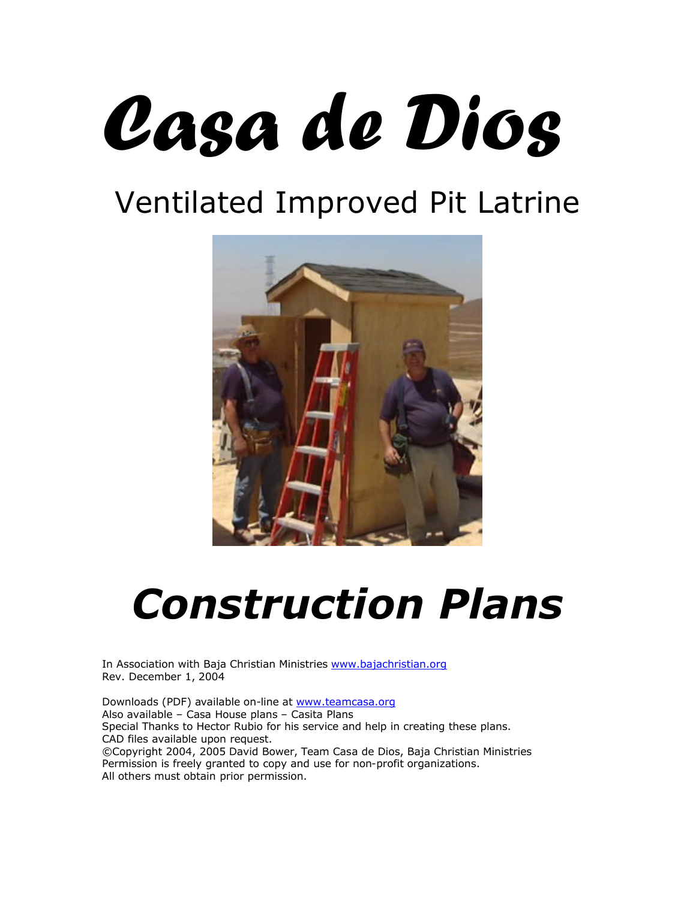## Casa de Dios

## Ventilated Improved Pit Latrine



## *Construction Plans*

In Association with Baja Christian Ministries www.bajachristian.org Rev. December 1, 2004

Downloads (PDF) available on-line at www.teamcasa.org Also available – Casa House plans – Casita Plans Special Thanks to Hector Rubio for his service and help in creating these plans. CAD files available upon request. ©Copyright 2004, 2005 David Bower, Team Casa de Dios, Baja Christian Ministries Permission is freely granted to copy and use for non-profit organizations. All others must obtain prior permission.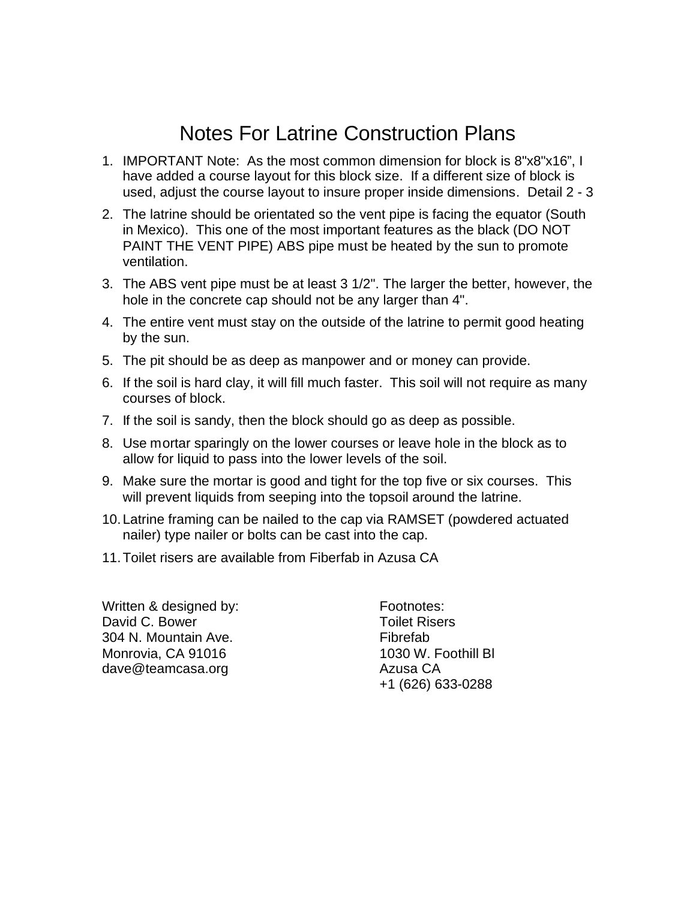## Notes For Latrine Construction Plans

- 1. IMPORTANT Note: As the most common dimension for block is 8"x8"x16", I have added a course layout for this block size. If a different size of block is used, adjust the course layout to insure proper inside dimensions. Detail 2 - 3
- 2. The latrine should be orientated so the vent pipe is facing the equator (South in Mexico). This one of the most important features as the black (DO NOT PAINT THE VENT PIPE) ABS pipe must be heated by the sun to promote ventilation.
- 3. The ABS vent pipe must be at least 3 1/2". The larger the better, however, the hole in the concrete cap should not be any larger than 4".
- 4. The entire vent must stay on the outside of the latrine to permit good heating by the sun.
- 5. The pit should be as deep as manpower and or money can provide.
- 6. If the soil is hard clay, it will fill much faster. This soil will not require as many courses of block.
- 7. If the soil is sandy, then the block should go as deep as possible.
- 8. Use mortar sparingly on the lower courses or leave hole in the block as to allow for liquid to pass into the lower levels of the soil.
- 9. Make sure the mortar is good and tight for the top five or six courses. This will prevent liquids from seeping into the topsoil around the latrine.
- 10.Latrine framing can be nailed to the cap via RAMSET (powdered actuated nailer) type nailer or bolts can be cast into the cap.
- 11.Toilet risers are available from Fiberfab in Azusa CA

Written & designed by: David C. Bower 304 N. Mountain Ave. Monrovia, CA 91016 dave@teamcasa.org

Footnotes: Toilet Risers Fibrefab 1030 W. Foothill Bl Azusa CA +1 (626) 633-0288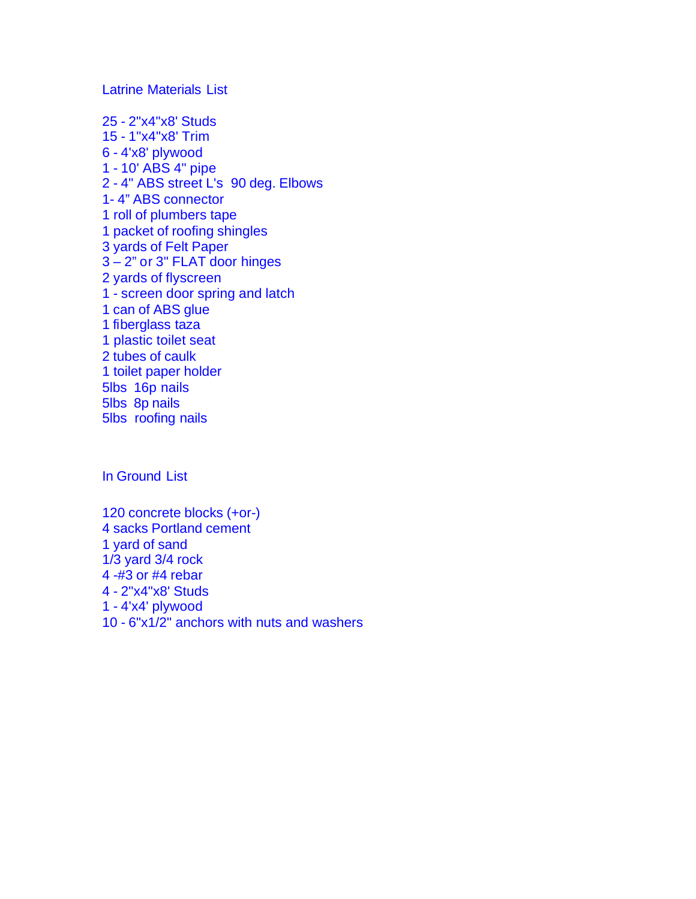Latrine Materials List

25 - 2"x4"x8' Studs 15 - 1"x4"x8' Trim 6 - 4'x8' plywood 1 - 10' ABS 4" pipe 2 - 4" ABS street L's 90 deg. Elbows 1- 4" ABS connector 1 roll of plumbers tape 1 packet of roofing shingles 3 yards of Felt Paper 3 – 2" or 3" FLAT door hinges 2 yards of flyscreen 1 - screen door spring and latch 1 can of ABS glue 1 fiberglass taza 1 plastic toilet seat 2 tubes of caulk 1 toilet paper holder 5lbs 16p nails 5lbs 8p nails 5lbs roofing nails

In Ground List

120 concrete blocks (+or-) 4 sacks Portland cement 1 yard of sand 1/3 yard 3/4 rock 4 -#3 or #4 rebar 4 - 2"x4"x8' Studs 1 - 4'x4' plywood 10 - 6"x1/2" anchors with nuts and washers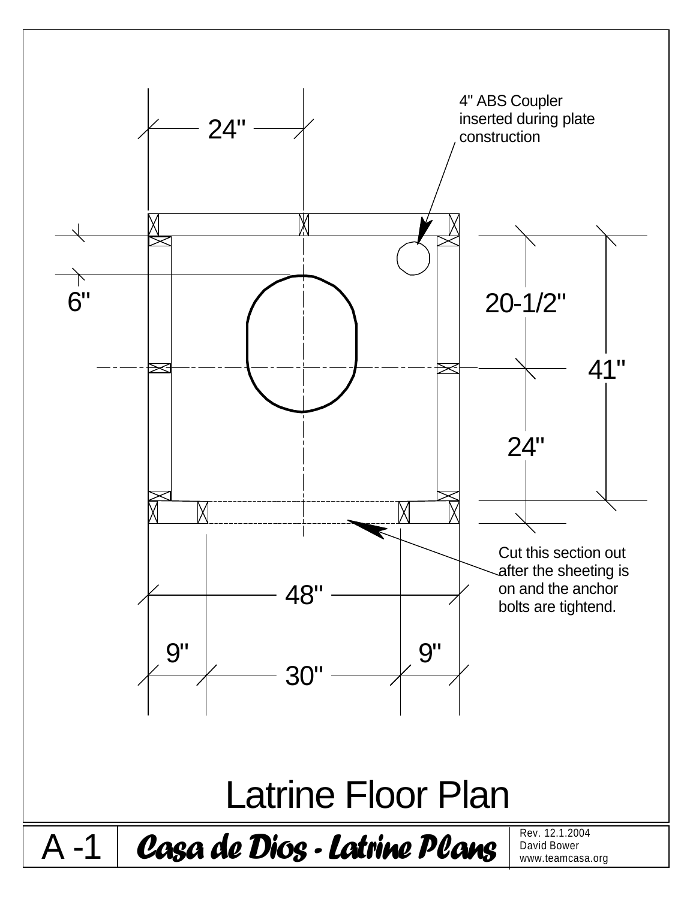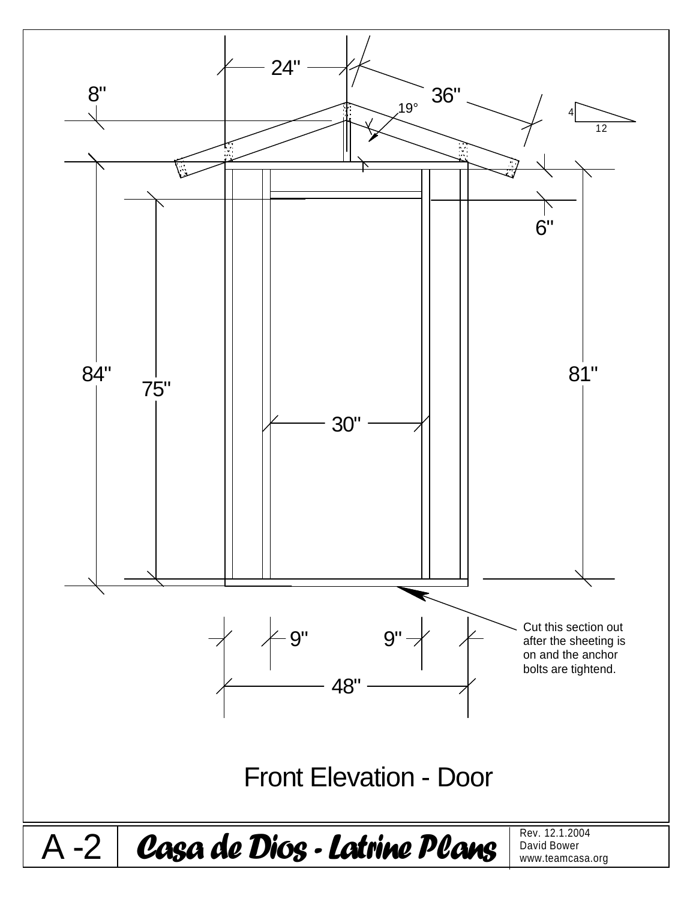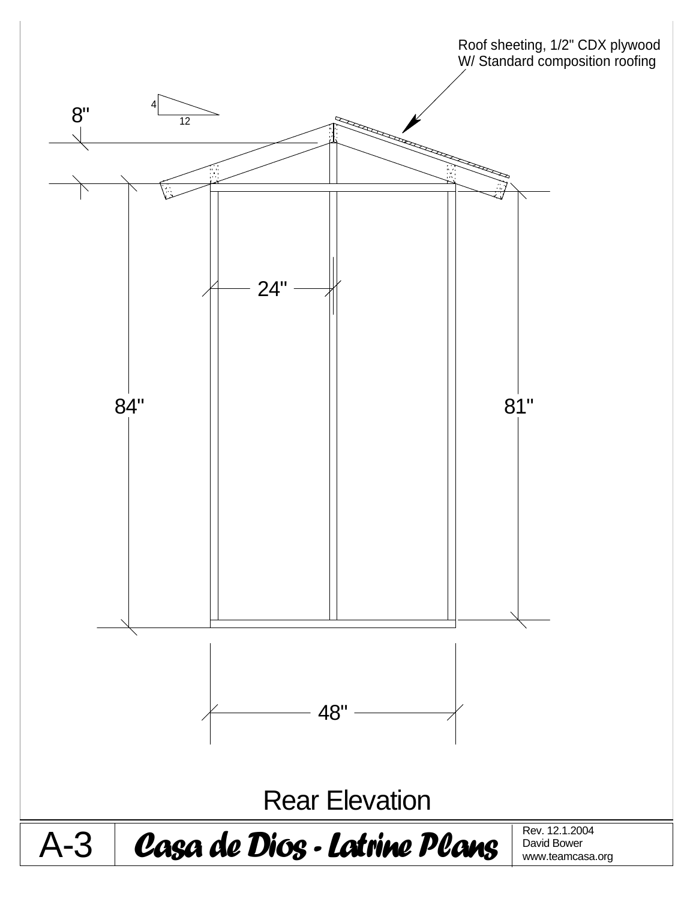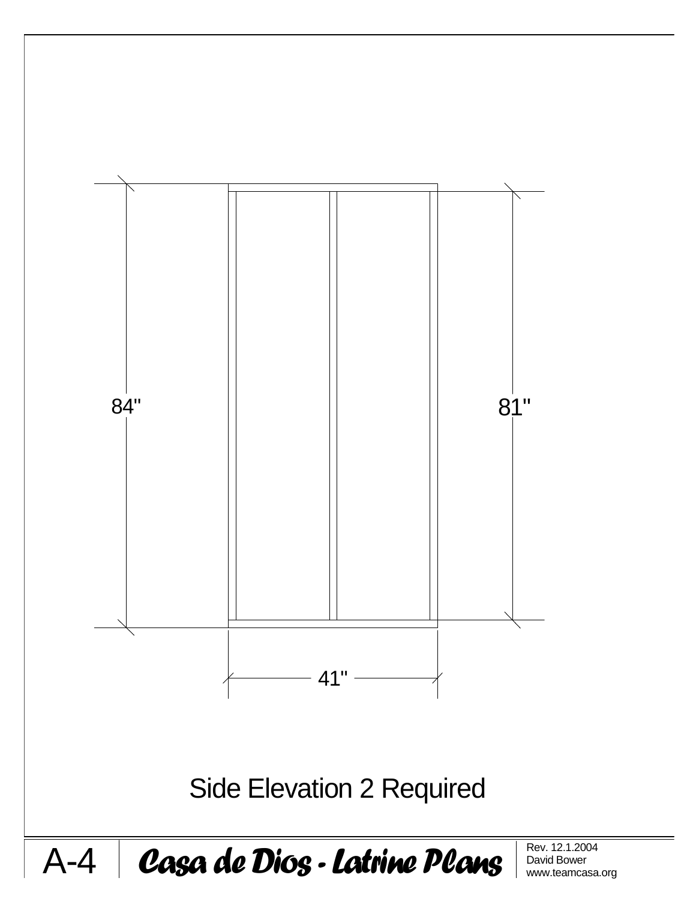

David Bower www.teamcasa.org

 $A-4$  Casa de Dios - Latrine Plans  $\left|\frac{R_{\text{ev. }12.1.2004}}{\text{David Bower}}\right|$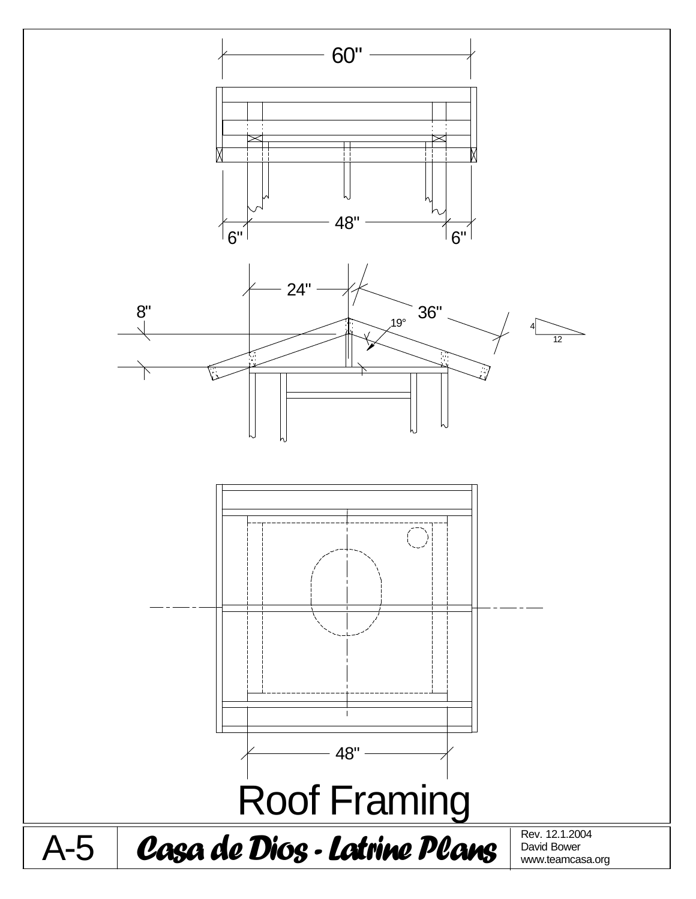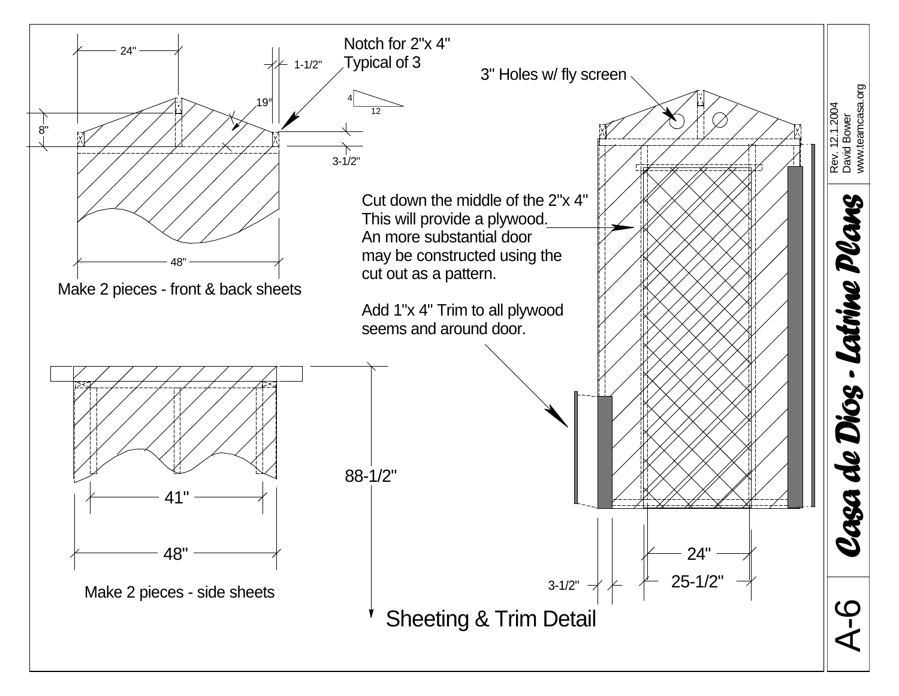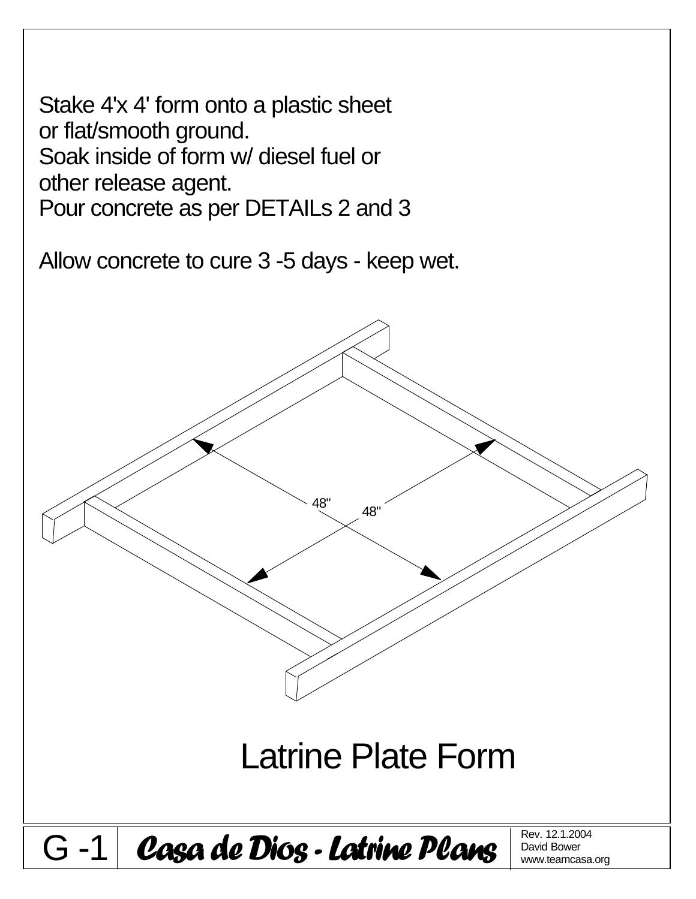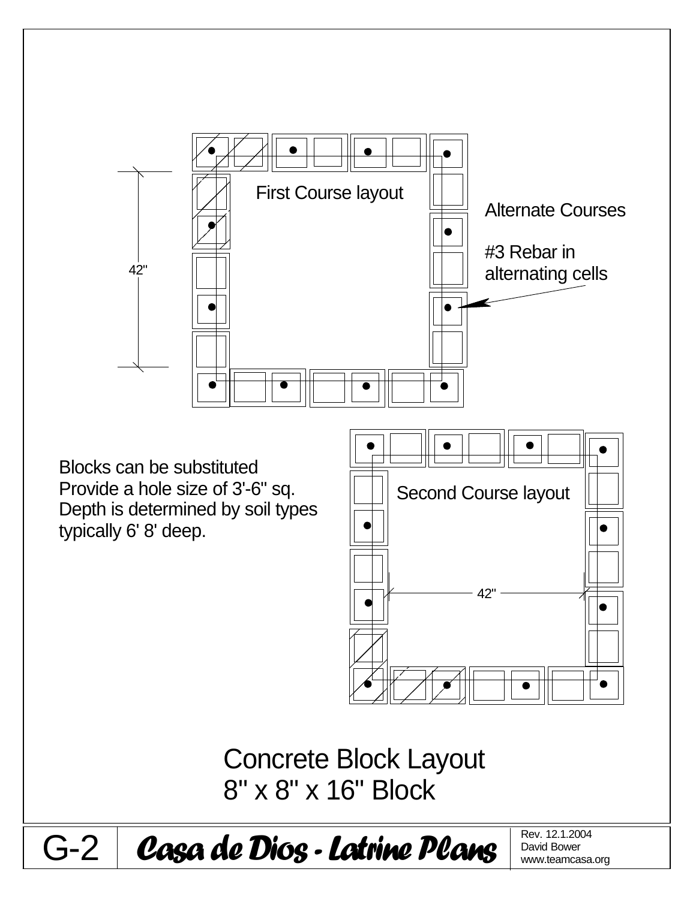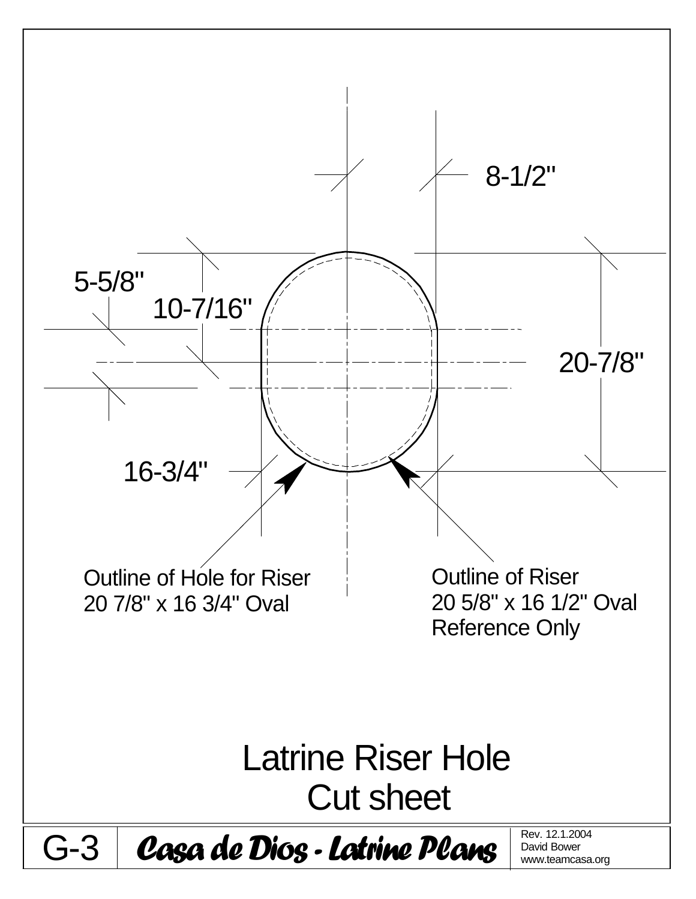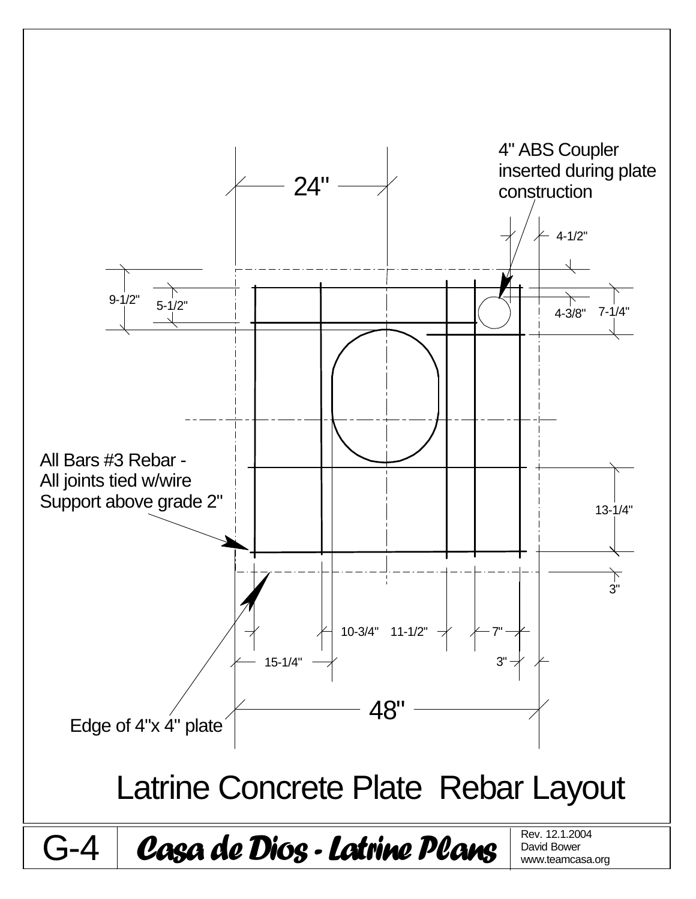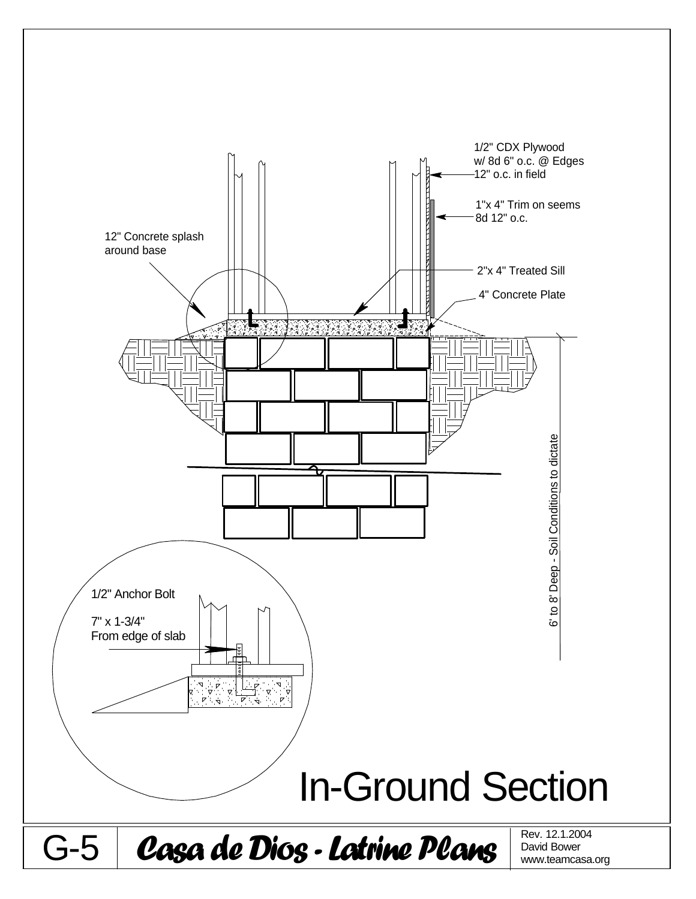